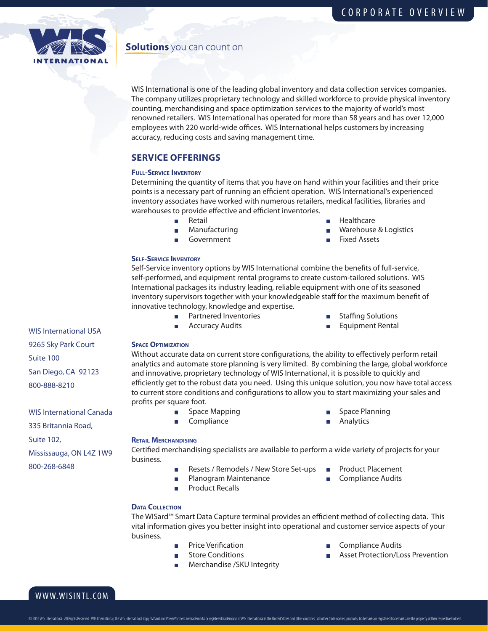

# **Solutions** you can count on

WIS International is one of the leading global inventory and data collection services companies. The company utilizes proprietary technology and skilled workforce to provide physical inventory counting, merchandising and space optimization services to the majority of world's most renowned retailers. WIS International has operated for more than 58 years and has over 12,000 employees with 220 world-wide offices. WIS International helps customers by increasing accuracy, reducing costs and saving management time.

# **SERVICE OFFERINGS**

## **Full-Service Inventory**

Determining the quantity of items that you have on hand within your facilities and their price points is a necessary part of running an efficient operation. WIS International's experienced inventory associates have worked with numerous retailers, medical facilities, libraries and warehouses to provide effective and efficient inventories.

 $\mathcal{L}_{\mathcal{A}}$ 

 $\overline{\phantom{a}}$ 

 $\overline{\phantom{a}}$ 

- 
- 
- Retail **Healthcare Healthcare**
- Manufacturing Manufacturing Manufacturing Manufacturing Manufacturing Manufacturing Manufacturing Manufacturing
	- Government **Fixed Assets**

## **Self-Service Inventory**

Self-Service inventory options by WIS International combine the benefits of full-service, self-performed, and equipment rental programs to create custom-tailored solutions. WIS International packages its industry leading, reliable equipment with one of its seasoned inventory supervisors together with your knowledgeable staff for the maximum benefit of innovative technology, knowledge and expertise.

- Partnered Inventories **Staffing Solutions**  $\mathcal{L}_{\mathcal{A}}$ 
	-
	- Accuracy Audits **Equipment Rental**

9265 Sky Park Court Suite 100 San Diego, CA 92123

WIS International USA

800-888-8210

WIS International Canada 335 Britannia Road, Suite 102, Mississauga, ON L4Z 1W9 800-268-6848

**Space Optimization**

Without accurate data on current store configurations, the ability to effectively perform retail analytics and automate store planning is very limited. By combining the large, global workforce and innovative, proprietary technology of WIS International, it is possible to quickly and efficiently get to the robust data you need. Using this unique solution, you now have total access to current store conditions and configurations to allow you to start maximizing your sales and profits per square foot.

- $\overline{\mathcal{L}}$
- $\overline{\phantom{a}}$
- Space Mapping Space Planning
- Compliance **Analytics Analytics**

#### **Retail Merchandising**

Certified merchandising specialists are available to perform a wide variety of projects for your business.

- П  $\overline{\phantom{a}}$
- Product Recalls
- Resets / Remodels / New Store Set-ups Product Placement
- Planogram Maintenance **Compliance Audits**
- **Data Collection**

The WISard™ Smart Data Capture terminal provides an efficient method of collecting data. This vital information gives you better insight into operational and customer service aspects of your business.

- 
- 
- Merchandise /SKU Integrity
- Price Verification **Compliance Audits**
- Store Conditions **Asset Protection/Loss Prevention**

# WWW.WISINTL.COM